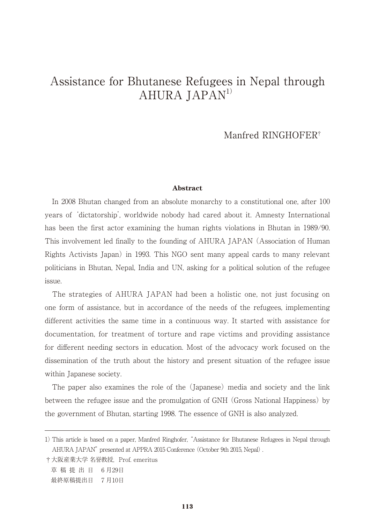# Assistance for Bhutanese Refugees in Nepal through AHURA JAPAN1)

# Manfred RINGHOFER†

## **Abstract**

 In 2008 Bhutan changed from an absolute monarchy to a constitutional one, after 100 years of 'dictatorship', worldwide nobody had cared about it. Amnesty International has been the first actor examining the human rights violations in Bhutan in 1989/90. This involvement led finally to the founding of AHURA JAPAN (Association of Human Rights Activists Japan) in 1993. This NGO sent many appeal cards to many relevant politicians in Bhutan, Nepal, India and UN, asking for a political solution of the refugee issue.

 The strategies of AHURA JAPAN had been a holistic one, not just focusing on one form of assistance, but in accordance of the needs of the refugees, implementing different activities the same time in a continuous way. It started with assistance for documentation, for treatment of torture and rape victims and providing assistance for different needing sectors in education. Most of the advocacy work focused on the dissemination of the truth about the history and present situation of the refugee issue within Japanese society.

 The paper also examines the role of the (Japanese) media and society and the link between the refugee issue and the promulgation of GNH (Gross National Happiness) by the government of Bhutan, starting 1998. The essence of GNH is also analyzed.

-

<sup>1)</sup>This article is based on a paper, Manfred Ringhofer, "Assistance for Bhutanese Refugees in Nepal through AHURA JAPAN" presented at APPRA 2015 Conference (October 9th 2015, Nepal).

<sup>†</sup> 大阪産業大学 名誉教授, Prof. emeritus

草 稿 提 出 日 6 月29日 最終原稿提出日 7 月10日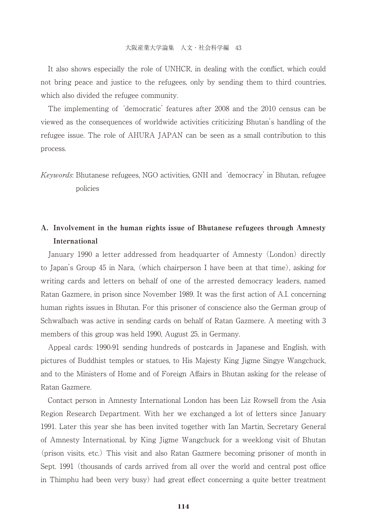It also shows especially the role of UNHCR, in dealing with the conflict, which could not bring peace and justice to the refugees, only by sending them to third countries, which also divided the refugee community.

 The implementing of 'democratic' features after 2008 and the 2010 census can be viewed as the consequences of worldwide activities criticizing Bhutan's handling of the refugee issue. The role of AHURA JAPAN can be seen as a small contribution to this process.

Keywords: Bhutanese refugees, NGO activities, GNH and 'democracy' in Bhutan, refugee policies

# **A. Involvement in the human rights issue of Bhutanese refugees through Amnesty International**

 January 1990 a letter addressed from headquarter of Amnesty (London) directly to Japan's Group 45 in Nara, (which chairperson I have been at that time), asking for writing cards and letters on behalf of one of the arrested democracy leaders, named Ratan Gazmere, in prison since November 1989. It was the first action of A.I. concerning human rights issues in Bhutan. For this prisoner of conscience also the German group of Schwalbach was active in sending cards on behalf of Ratan Gazmere. A meeting with 3 members of this group was held 1990, August 25, in Germany.

 Appeal cards: 1990-91 sending hundreds of postcards in Japanese and English, with pictures of Buddhist temples or statues, to His Majesty King Jigme Singye Wangchuck, and to the Ministers of Home and of Foreign Affairs in Bhutan asking for the release of Ratan Gazmere.

 Contact person in Amnesty International London has been Liz Rowsell from the Asia Region Research Department. With her we exchanged a lot of letters since January 1991. Later this year she has been invited together with Ian Martin, Secretary General of Amnesty International, by King Jigme Wangchuck for a weeklong visit of Bhutan (prison visits, etc.) This visit and also Ratan Gazmere becoming prisoner of month in Sept. 1991 (thousands of cards arrived from all over the world and central post office in Thimphu had been very busy) had great effect concerning a quite better treatment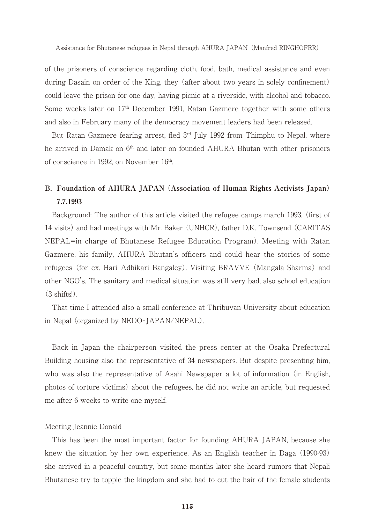of the prisoners of conscience regarding cloth, food, bath, medical assistance and even during Dasain on order of the King, they (after about two years in solely confinement) could leave the prison for one day, having picnic at a riverside, with alcohol and tobacco. Some weeks later on  $17<sup>th</sup>$  December 1991, Ratan Gazmere together with some others and also in February many of the democracy movement leaders had been released.

But Ratan Gazmere fearing arrest, fled 3<sup>rd</sup> July 1992 from Thimphu to Nepal, where he arrived in Damak on  $6<sup>th</sup>$  and later on founded AHURA Bhutan with other prisoners of conscience in 1992, on November 16<sup>th</sup>.

# **B. Foundation of AHURA JAPAN (Association of Human Rights Activists Japan) 7.7.1993**

 Background: The author of this article visited the refugee camps march 1993, (first of 14 visits) and had meetings with Mr. Baker (UNHCR), father D.K. Townsend (CARITAS NEPAL=in charge of Bhutanese Refugee Education Program). Meeting with Ratan Gazmere, his family, AHURA Bhutan's officers and could hear the stories of some refugees (for ex. Hari Adhikari Bangaley). Visiting BRAVVE (Mangala Sharma) and other NGO's. The sanitary and medical situation was still very bad, also school education (3 shifts!).

 That time I attended also a small conference at Thribuvan University about education in Nepal (organized by NEDO・JAPAN/NEPAL).

 Back in Japan the chairperson visited the press center at the Osaka Prefectural Building housing also the representative of 34 newspapers. But despite presenting him, who was also the representative of Asahi Newspaper a lot of information (in English, photos of torture victims) about the refugees, he did not write an article, but requested me after 6 weeks to write one myself.

### Meeting Jeannie Donald

 This has been the most important factor for founding AHURA JAPAN, because she knew the situation by her own experience. As an English teacher in Daga (1990-93) she arrived in a peaceful country, but some months later she heard rumors that Nepali Bhutanese try to topple the kingdom and she had to cut the hair of the female students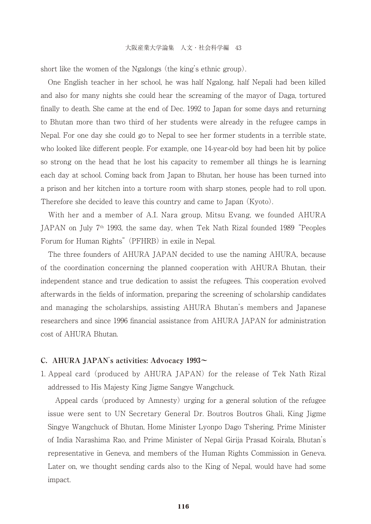#### 大阪産業大学論集 人文・社会科学編 43

short like the women of the Ngalongs (the king's ethnic group).

 One English teacher in her school, he was half Ngalong, half Nepali had been killed and also for many nights she could hear the screaming of the mayor of Daga, tortured finally to death. She came at the end of Dec. 1992 to Japan for some days and returning to Bhutan more than two third of her students were already in the refugee camps in Nepal. For one day she could go to Nepal to see her former students in a terrible state, who looked like different people. For example, one 14-year-old boy had been hit by police so strong on the head that he lost his capacity to remember all things he is learning each day at school. Coming back from Japan to Bhutan, her house has been turned into a prison and her kitchen into a torture room with sharp stones, people had to roll upon. Therefore she decided to leave this country and came to Japan (Kyoto).

 With her and a member of A.I. Nara group, Mitsu Evang, we founded AHURA JAPAN on July 7th 1993, the same day, when Tek Nath Rizal founded 1989 "Peoples Forum for Human Rights" (PFHRB) in exile in Nepal.

 The three founders of AHURA JAPAN decided to use the naming AHURA, because of the coordination concerning the planned cooperation with AHURA Bhutan, their independent stance and true dedication to assist the refugees. This cooperation evolved afterwards in the fields of information, preparing the screening of scholarship candidates and managing the scholarships, assisting AHURA Bhutan's members and Japanese researchers and since 1996 financial assistance from AHURA JAPAN for administration cost of AHURA Bhutan.

#### **C. AHURA JAPAN**'**s activities: Advocacy 1993〜**

1. Appeal card (produced by AHURA JAPAN) for the release of Tek Nath Rizal addressed to His Majesty King Jigme Sangye Wangchuck.

 Appeal cards (produced by Amnesty) urging for a general solution of the refugee issue were sent to UN Secretary General Dr. Boutros Boutros Ghali, King Jigme Singye Wangchuck of Bhutan, Home Minister Lyonpo Dago Tshering, Prime Minister of India Narashima Rao, and Prime Minister of Nepal Girija Prasad Koirala, Bhutan's representative in Geneva, and members of the Human Rights Commission in Geneva. Later on, we thought sending cards also to the King of Nepal, would have had some impact.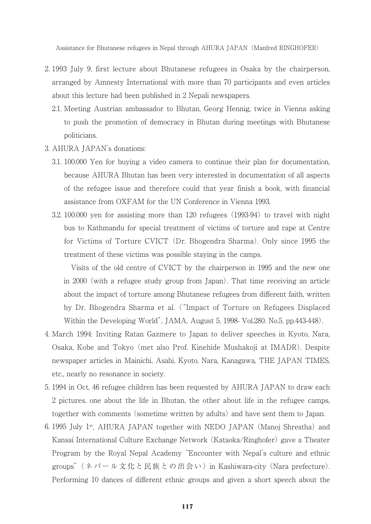- 2. 1993 July 9, first lecture about Bhutanese refugees in Osaka by the chairperson, arranged by Amnesty International with more than 70 participants and even articles about this lecture had been published in 2 Nepali newspapers.
	- 2.1. Meeting Austrian ambassador to Bhutan, Georg Hennig, twice in Vienna asking to push the promotion of democracy in Bhutan during meetings with Bhutanese politicians.
- 3. AHURA JAPAN's donations:
	- 3.1. 100.000 Yen for buying a video camera to continue their plan for documentation, because AHURA Bhutan has been very interested in documentation of all aspects of the refugee issue and therefore could that year finish a book, with financial assistance from OXFAM for the UN Conference in Vienna 1993.
	- 3.2. 100.000 yen for assisting more than 120 refugees (1993-94) to travel with night bus to Kathmandu for special treatment of victims of torture and rape at Centre for Victims of Torture CVICT (Dr. Bhogendra Sharma). Only since 1995 the treatment of these victims was possible staying in the camps.

 Visits of the old centre of CVICT by the chairperson in 1995 and the new one in 2000 (with a refugee study group from Japan). That time receiving an article about the impact of torture among Bhutanese refugees from different faith, written by Dr. Bhogendra Sharma et al. ("Impact of Torture on Refugees Displaced Within the Developing World", JAMA, August 5, 1998- Vol.280. No.5, pp.443-448).

- 4. March 1994: Inviting Ratan Gazmere to Japan to deliver speeches in Kyoto, Nara, Osaka, Kobe and Tokyo (met also Prof. Kinehide Mushakoji at IMADR). Despite newspaper articles in Mainichi, Asahi, Kyoto, Nara, Kanagawa, THE JAPAN TIMES, etc., nearly no resonance in society.
- 5. 1994 in Oct, 46 refugee children has been requested by AHURA JAPAN to draw each 2 pictures, one about the life in Bhutan, the other about life in the refugee camps, together with comments (sometime written by adults) and have sent them to Japan.
- 6. 1995 July 1st, AHURA JAPAN together with NEDO JAPAN (Manoj Shrestha) and Kansai International Culture Exchange Network (Kataoka/Ringhofer) gave a Theater Program by the Royal Nepal Academy "Encounter with Nepal's culture and ethnic groups" ( ネ パ ー ル 文 化 と 民 族 と の 出 会 い ) in Kashiwara-city (Nara prefecture). Performing 10 dances of different ethnic groups and given a short speech about the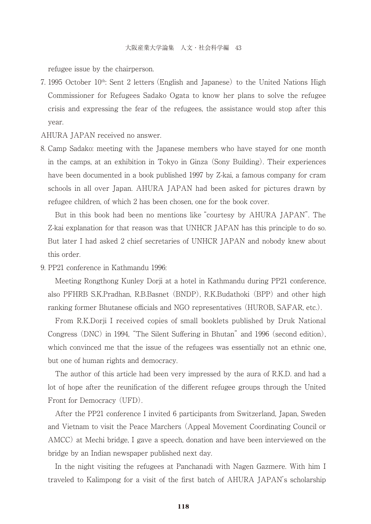refugee issue by the chairperson.

- 7. 1995 October  $10<sup>th</sup>$ : Sent 2 letters (English and Japanese) to the United Nations High Commissioner for Refugees Sadako Ogata to know her plans to solve the refugee crisis and expressing the fear of the refugees, the assistance would stop after this year.
- AHURA JAPAN received no answer.
- 8. Camp Sadako: meeting with the Japanese members who have stayed for one month in the camps, at an exhibition in Tokyo in Ginza (Sony Building). Their experiences have been documented in a book published 1997 by Z-kai, a famous company for cram schools in all over Japan. AHURA JAPAN had been asked for pictures drawn by refugee children, of which 2 has been chosen, one for the book cover.

 But in this book had been no mentions like "courtesy by AHURA JAPAN". The Z-kai explanation for that reason was that UNHCR JAPAN has this principle to do so. But later I had asked 2 chief secretaries of UNHCR JAPAN and nobody knew about this order.

9. PP21 conference in Kathmandu 1996:

 Meeting Rongthong Kunley Dorji at a hotel in Kathmandu during PP21 conference, also PFHRB S.K.Pradhan, R.B.Basnet (BNDP), R.K.Budathoki (BPP) and other high ranking former Bhutanese officials and NGO representatives (HUROB, SAFAR, etc.).

 From R.K.Dorji I received copies of small booklets published by Druk National Congress (DNC) in 1994, "The Silent Suffering in Bhutan" and 1996 (second edition), which convinced me that the issue of the refugees was essentially not an ethnic one, but one of human rights and democracy.

 The author of this article had been very impressed by the aura of R.K.D. and had a lot of hope after the reunification of the different refugee groups through the United Front for Democracy (UFD).

 After the PP21 conference I invited 6 participants from Switzerland, Japan, Sweden and Vietnam to visit the Peace Marchers (Appeal Movement Coordinating Council or AMCC) at Mechi bridge, I gave a speech, donation and have been interviewed on the bridge by an Indian newspaper published next day.

 In the night visiting the refugees at Panchanadi with Nagen Gazmere. With him I traveled to Kalimpong for a visit of the first batch of AHURA JAPAN's scholarship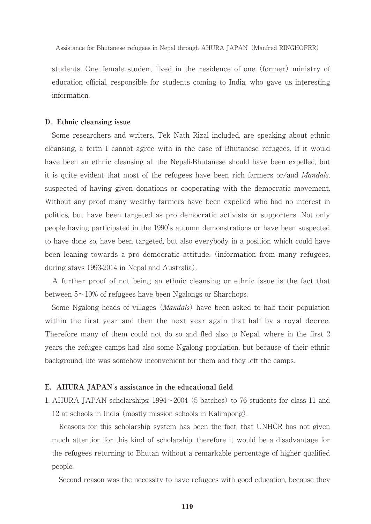students. One female student lived in the residence of one (former) ministry of education official, responsible for students coming to India, who gave us interesting information.

#### **D. Ethnic cleansing issue**

 Some researchers and writers, Tek Nath Rizal included, are speaking about ethnic cleansing, a term I cannot agree with in the case of Bhutanese refugees. If it would have been an ethnic cleansing all the Nepali-Bhutanese should have been expelled, but it is quite evident that most of the refugees have been rich farmers or/and Mandals, suspected of having given donations or cooperating with the democratic movement. Without any proof many wealthy farmers have been expelled who had no interest in politics, but have been targeted as pro democratic activists or supporters. Not only people having participated in the 1990's autumn demonstrations or have been suspected to have done so, have been targeted, but also everybody in a position which could have been leaning towards a pro democratic attitude. (information from many refugees, during stays 1993-2014 in Nepal and Australia).

 A further proof of not being an ethnic cleansing or ethnic issue is the fact that between 5〜10% of refugees have been Ngalongs or Sharchops.

Some Ngalong heads of villages (*Mandals*) have been asked to half their population within the first year and then the next year again that half by a royal decree. Therefore many of them could not do so and fled also to Nepal, where in the first 2 years the refugee camps had also some Ngalong population, but because of their ethnic background, life was somehow inconvenient for them and they left the camps.

#### **E. AHURA JAPAN**'**s assistance in the educational field**

1. AHURA JAPAN scholarships: 1994〜2004 (5 batches) to 76 students for class 11 and 12 at schools in India (mostly mission schools in Kalimpong).

 Reasons for this scholarship system has been the fact, that UNHCR has not given much attention for this kind of scholarship, therefore it would be a disadvantage for the refugees returning to Bhutan without a remarkable percentage of higher qualified people.

Second reason was the necessity to have refugees with good education, because they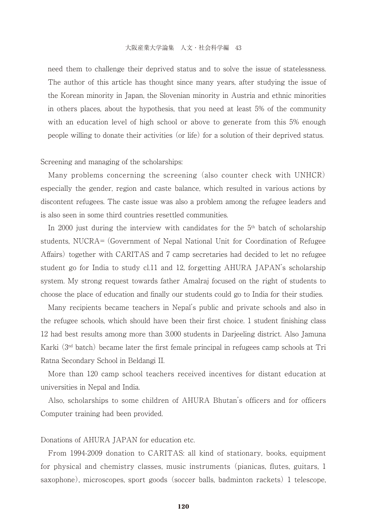#### 大阪産業大学論集 人文・社会科学編 43

need them to challenge their deprived status and to solve the issue of statelessness. The author of this article has thought since many years, after studying the issue of the Korean minority in Japan, the Slovenian minority in Austria and ethnic minorities in others places, about the hypothesis, that you need at least 5% of the community with an education level of high school or above to generate from this 5% enough people willing to donate their activities (or life) for a solution of their deprived status.

#### Screening and managing of the scholarships:

 Many problems concerning the screening (also counter check with UNHCR) especially the gender, region and caste balance, which resulted in various actions by discontent refugees. The caste issue was also a problem among the refugee leaders and is also seen in some third countries resettled communities.

In 2000 just during the interview with candidates for the  $5<sup>th</sup>$  batch of scholarship students, NUCRA=(Government of Nepal National Unit for Coordination of Refugee Affairs) together with CARITAS and 7 camp secretaries had decided to let no refugee student go for India to study cl.11 and 12, forgetting AHURA JAPAN's scholarship system. My strong request towards father Amalraj focused on the right of students to choose the place of education and finally our students could go to India for their studies.

 Many recipients became teachers in Nepal's public and private schools and also in the refugee schools, which should have been their first choice. 1 student finishing class 12 had best results among more than 3.000 students in Darjeeling district. Also Jamuna Karki (3nd batch) became later the first female principal in refugees camp schools at Tri Ratna Secondary School in Beldangi II.

 More than 120 camp school teachers received incentives for distant education at universities in Nepal and India.

 Also, scholarships to some children of AHURA Bhutan's officers and for officers Computer training had been provided.

#### Donations of AHURA JAPAN for education etc.

 From 1994-2009 donation to CARITAS: all kind of stationary, books, equipment for physical and chemistry classes, music instruments (pianicas, flutes, guitars, 1 saxophone), microscopes, sport goods (soccer balls, badminton rackets) 1 telescope,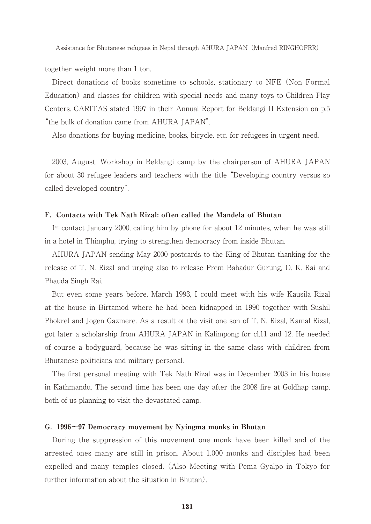together weight more than 1 ton.

 Direct donations of books sometime to schools, stationary to NFE (Non Formal Education) and classes for children with special needs and many toys to Children Play Centers. CARITAS stated 1997 in their Annual Report for Beldangi II Extension on p.5 "the bulk of donation came from AHURA JAPAN".

Also donations for buying medicine, books, bicycle, etc. for refugees in urgent need.

 2003, August, Workshop in Beldangi camp by the chairperson of AHURA JAPAN for about 30 refugee leaders and teachers with the title "Developing country versus so called developed country".

#### **F. Contacts with Tek Nath Rizal: often called the Mandela of Bhutan**

 $1<sup>st</sup>$  contact January 2000, calling him by phone for about 12 minutes, when he was still in a hotel in Thimphu, trying to strengthen democracy from inside Bhutan.

 AHURA JAPAN sending May 2000 postcards to the King of Bhutan thanking for the release of T. N. Rizal and urging also to release Prem Bahadur Gurung, D. K. Rai and Phauda Singh Rai.

 But even some years before, March 1993, I could meet with his wife Kausila Rizal at the house in Birtamod where he had been kidnapped in 1990 together with Sushil Phokrel and Jogen Gazmere. As a result of the visit one son of T. N. Rizal, Kamal Rizal, got later a scholarship from AHURA JAPAN in Kalimpong for cl.11 and 12. He needed of course a bodyguard, because he was sitting in the same class with children from Bhutanese politicians and military personal.

 The first personal meeting with Tek Nath Rizal was in December 2003 in his house in Kathmandu. The second time has been one day after the 2008 fire at Goldhap camp, both of us planning to visit the devastated camp.

#### **G. 1996〜97 Democracy movement by Nyingma monks in Bhutan**

 During the suppression of this movement one monk have been killed and of the arrested ones many are still in prison. About 1.000 monks and disciples had been expelled and many temples closed. (Also Meeting with Pema Gyalpo in Tokyo for further information about the situation in Bhutan).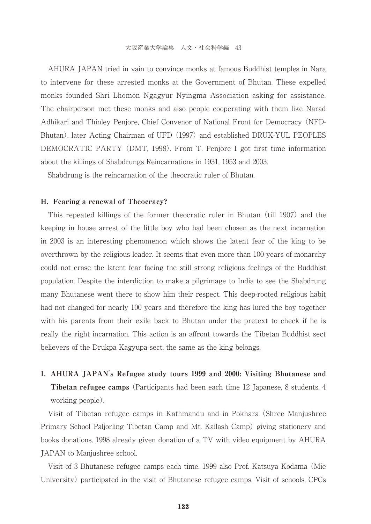AHURA JAPAN tried in vain to convince monks at famous Buddhist temples in Nara to intervene for these arrested monks at the Government of Bhutan. These expelled monks founded Shri Lhomon Ngagyur Nyingma Association asking for assistance. The chairperson met these monks and also people cooperating with them like Narad Adhikari and Thinley Penjore, Chief Convenor of National Front for Democracy (NFD-Bhutan), later Acting Chairman of UFD (1997) and established DRUK-YUL PEOPLES DEMOCRATIC PARTY (DMT, 1998). From T. Penjore I got first time information about the killings of Shabdrungs Reincarnations in 1931, 1953 and 2003.

Shabdrung is the reincarnation of the theocratic ruler of Bhutan.

#### **H. Fearing a renewal of Theocracy?**

 This repeated killings of the former theocratic ruler in Bhutan (till 1907) and the keeping in house arrest of the little boy who had been chosen as the next incarnation in 2003 is an interesting phenomenon which shows the latent fear of the king to be overthrown by the religious leader. It seems that even more than 100 years of monarchy could not erase the latent fear facing the still strong religious feelings of the Buddhist population. Despite the interdiction to make a pilgrimage to India to see the Shabdrung many Bhutanese went there to show him their respect. This deep-rooted religious habit had not changed for nearly 100 years and therefore the king has lured the boy together with his parents from their exile back to Bhutan under the pretext to check if he is really the right incarnation. This action is an affront towards the Tibetan Buddhist sect believers of the Drukpa Kagyupa sect, the same as the king belongs.

**I. AHURA JAPAN**'**s Refugee study tours 1999 and 2000: Visiting Bhutanese and Tibetan refugee camps** (Participants had been each time 12 Japanese, 8 students, 4 working people).

 Visit of Tibetan refugee camps in Kathmandu and in Pokhara (Shree Manjushree Primary School Paljorling Tibetan Camp and Mt. Kailash Camp) giving stationery and books donations. 1998 already given donation of a TV with video equipment by AHURA JAPAN to Manjushree school.

 Visit of 3 Bhutanese refugee camps each time. 1999 also Prof. Katsuya Kodama (Mie University) participated in the visit of Bhutanese refugee camps. Visit of schools, CPCs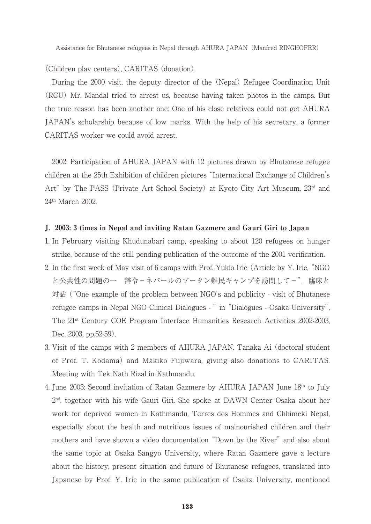(Children play centers), CARITAS (donation).

 During the 2000 visit, the deputy director of the (Nepal) Refugee Coordination Unit (RCU) Mr. Mandal tried to arrest us, because having taken photos in the camps. But the true reason has been another one: One of his close relatives could not get AHURA JAPAN's scholarship because of low marks. With the help of his secretary, a former CARITAS worker we could avoid arrest.

 2002: Participation of AHURA JAPAN with 12 pictures drawn by Bhutanese refugee children at the 25th Exhibition of children pictures "International Exchange of Children's Art" by The PASS (Private Art School Society) at Kyoto City Art Museum,  $23<sup>rd</sup>$  and 24th March 2002.

#### **J. 2003: 3 times in Nepal and inviting Ratan Gazmere and Gauri Giri to Japan**

- 1. In February visiting Khudunabari camp, speaking to about 120 refugees on hunger strike, because of the still pending publication of the outcome of the 2001 verification.
- 2. In the first week of May visit of 6 camps with Prof. Yukio Irie (Article by Y. Irie, "NGO と公共性の問題の一 辞令-ネパールのブータン難民キャンプを訪問して-",臨床と 対話 ("One example of the problem between NGO's and publicity - visit of Bhutanese refugee camps in Nepal NGO Clinical Dialogues - " in "Dialogues - Osaka University", The 21st Century COE Program Interface Humanities Research Activities 2002-2003, Dec. 2003, pp.52-59).
- 3. Visit of the camps with 2 members of AHURA JAPAN, Tanaka Ai (doctoral student of Prof. T. Kodama) and Makiko Fujiwara, giving also donations to CARITAS. Meeting with Tek Nath Rizal in Kathmandu.
- 4. June 2003: Second invitation of Ratan Gazmere by AHURA JAPAN June 18<sup>th</sup> to July 2nd, together with his wife Gauri Giri. She spoke at DAWN Center Osaka about her work for deprived women in Kathmandu, Terres des Hommes and Chhimeki Nepal, especially about the health and nutritious issues of malnourished children and their mothers and have shown a video documentation "Down by the River" and also about the same topic at Osaka Sangyo University, where Ratan Gazmere gave a lecture about the history, present situation and future of Bhutanese refugees, translated into Japanese by Prof. Y. Irie in the same publication of Osaka University, mentioned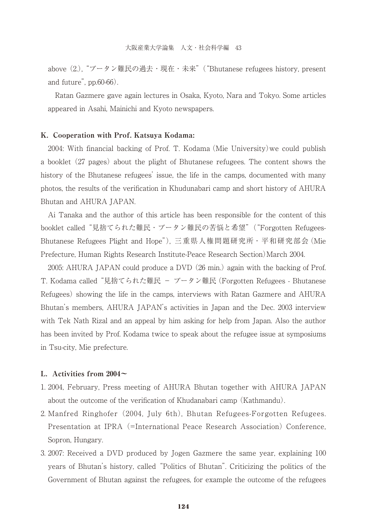above (2.), "ブータン難民の過去・現在・未来" ("Bhutanese refugees history, present and future", pp.60-66).

 Ratan Gazmere gave again lectures in Osaka, Kyoto, Nara and Tokyo. Some articles appeared in Asahi, Mainichi and Kyoto newspapers.

#### **K. Cooperation with Prof. Katsuya Kodama:**

 2004: With financial backing of Prof. T. Kodama(Mie University)we could publish a booklet (27 pages) about the plight of Bhutanese refugees. The content shows the history of the Bhutanese refugees' issue, the life in the camps, documented with many photos, the results of the verification in Khudunabari camp and short history of AHURA Bhutan and AHURA JAPAN.

 Ai Tanaka and the author of this article has been responsible for the content of this booklet called "見捨てられた難民・ブータン難民の苦悩と希望"("Forgotten Refugees-Bhutanese Refugees Plight and Hope"), 三重県人権問題研究所・平和研究部会(Mie Prefecture, Human Rights Research Institute-Peace Research Section)March 2004.

 2005: AHURA JAPAN could produce a DVD (26 min.) again with the backing of Prof. T. Kodama called "見捨てられた難民 - ブータン難民(Forgotten Refugees - Bhutanese Refugees) showing the life in the camps, interviews with Ratan Gazmere and AHURA Bhutan's members, AHURA JAPAN's activities in Japan and the Dec. 2003 interview with Tek Nath Rizal and an appeal by him asking for help from Japan. Also the author has been invited by Prof. Kodama twice to speak about the refugee issue at symposiums in Tsu-city, Mie prefecture.

#### **L. Activities from 2004〜**

- 1. 2004, February, Press meeting of AHURA Bhutan together with AHURA JAPAN about the outcome of the verification of Khudanabari camp (Kathmandu).
- 2. Manfred Ringhofer (2004, July 6th), Bhutan Refugees-Forgotten Refugees. Presentation at IPRA (=International Peace Research Association) Conference, Sopron, Hungary.
- 3. 2007: Received a DVD produced by Jogen Gazmere the same year, explaining 100 years of Bhutan's history, called "Politics of Bhutan". Criticizing the politics of the Government of Bhutan against the refugees, for example the outcome of the refugees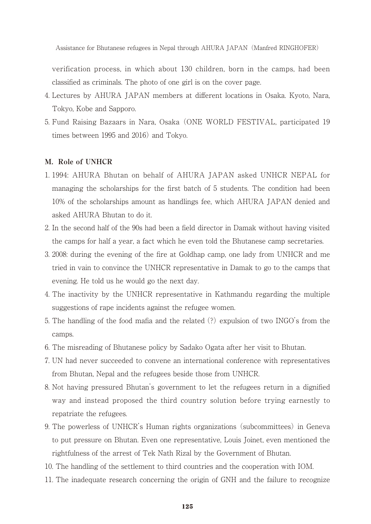verification process, in which about 130 children, born in the camps, had been classified as criminals. The photo of one girl is on the cover page.

- 4. Lectures by AHURA JAPAN members at different locations in Osaka. Kyoto, Nara, Tokyo, Kobe and Sapporo.
- 5. Fund Raising Bazaars in Nara, Osaka (ONE WORLD FESTIVAL, participated 19 times between 1995 and 2016) and Tokyo.

### **M. Role of UNHCR**

- 1. 1994: AHURA Bhutan on behalf of AHURA JAPAN asked UNHCR NEPAL for managing the scholarships for the first batch of 5 students. The condition had been 10% of the scholarships amount as handlings fee, which AHURA JAPAN denied and asked AHURA Bhutan to do it.
- 2. In the second half of the 90s had been a field director in Damak without having visited the camps for half a year, a fact which he even told the Bhutanese camp secretaries.
- 3. 2008: during the evening of the fire at Goldhap camp, one lady from UNHCR and me tried in vain to convince the UNHCR representative in Damak to go to the camps that evening. He told us he would go the next day.
- 4. The inactivity by the UNHCR representative in Kathmandu regarding the multiple suggestions of rape incidents against the refugee women.
- 5. The handling of the food mafia and the related(?) expulsion of two INGO's from the camps.
- 6. The misreading of Bhutanese policy by Sadako Ogata after her visit to Bhutan.
- 7. UN had never succeeded to convene an international conference with representatives from Bhutan, Nepal and the refugees beside those from UNHCR.
- 8. Not having pressured Bhutan's government to let the refugees return in a dignified way and instead proposed the third country solution before trying earnestly to repatriate the refugees.
- 9. The powerless of UNHCR's Human rights organizations (subcommittees) in Geneva to put pressure on Bhutan. Even one representative, Louis Joinet, even mentioned the rightfulness of the arrest of Tek Nath Rizal by the Government of Bhutan.
- 10. The handling of the settlement to third countries and the cooperation with IOM.
- 11. The inadequate research concerning the origin of GNH and the failure to recognize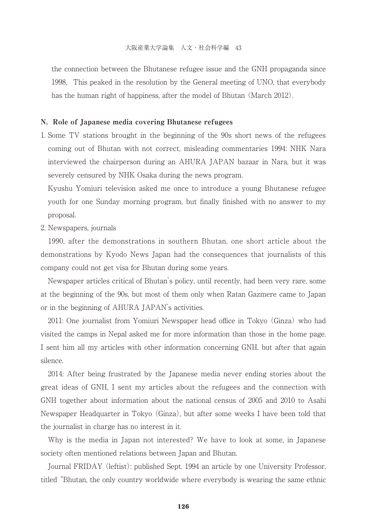the connection between the Bhutanese refugee issue and the GNH propaganda since 1998. This peaked in the resolution by the General meeting of UNO, that everybody has the human right of happiness, after the model of Bhutan (March 2012).

#### **N. Role of Japanese media covering Bhutanese refugees**

1. Some TV stations brought in the beginning of the 90s short news of the refugees coming out of Bhutan with not correct, misleading commentaries 1994: NHK Nara interviewed the chairperson during an AHURA JAPAN bazaar in Nara, but it was severely censured by NHK Osaka during the news program.

Kyushu Yomiuri television asked me once to introduce a young Bhutanese refugee youth for one Sunday morning program, but finally finished with no answer to my proposal.

2. Newspapers, journals

 1990, after the demonstrations in southern Bhutan, one short article about the demonstrations by Kyodo News Japan had the consequences that journalists of this company could not get visa for Bhutan during some years.

 Newspaper articles critical of Bhutan's policy, until recently, had been very rare, some at the beginning of the 90s, but most of them only when Ratan Gazmere came to Japan or in the beginning of AHURA JAPAN's activities.

 2011: One journalist from Yomiuri Newspaper head office in Tokyo (Ginza) who had visited the camps in Nepal asked me for more information than those in the home page. I sent him all my articles with other information concerning GNH, but after that again silence.

 2014: After being frustrated by the Japanese media never ending stories about the great ideas of GNH, I sent my articles about the refugees and the connection with GNH together about information about the national census of 2005 and 2010 to Asahi Newspaper Headquarter in Tokyo (Ginza), but after some weeks I have been told that the journalist in charge has no interest in it.

 Why is the media in Japan not interested? We have to look at some, in Japanese society often mentioned relations between Japan and Bhutan.

 Journal FRIDAY (leftist): published Sept. 1994 an article by one University Professor, titled "Bhutan, the only country worldwide where everybody is wearing the same ethnic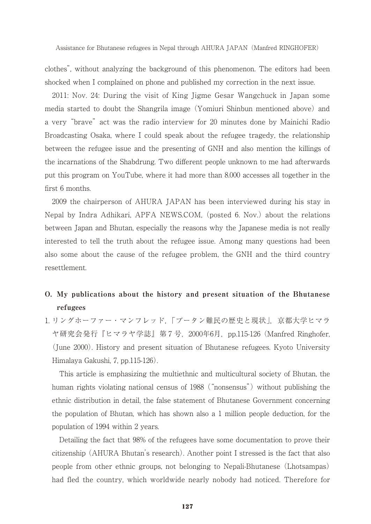clothes", without analyzing the background of this phenomenon. The editors had been shocked when I complained on phone and published my correction in the next issue.

 2011: Nov. 24: During the visit of King Jigme Gesar Wangchuck in Japan some media started to doubt the Shangrila image (Yomiuri Shinbun mentioned above) and a very "brave" act was the radio interview for 20 minutes done by Mainichi Radio Broadcasting Osaka, where I could speak about the refugee tragedy, the relationship between the refugee issue and the presenting of GNH and also mention the killings of the incarnations of the Shabdrung. Two different people unknown to me had afterwards put this program on YouTube, where it had more than 8.000 accesses all together in the first 6 months.

 2009 the chairperson of AHURA JAPAN has been interviewed during his stay in Nepal by Indra Adhikari, APFA NEWS.COM, (posted 6. Nov.) about the relations between Japan and Bhutan, especially the reasons why the Japanese media is not really interested to tell the truth about the refugee issue. Among many questions had been also some about the cause of the refugee problem, the GNH and the third country resettlement.

# **O. My publications about the history and present situation of the Bhutanese refugees**

1. リングホーファー・マンフレッド,「ブータン難民の歴史と現状」, 京都大学ヒマラ ヤ研究会発行『ヒマラヤ学誌』第7号, 2000年6月, pp.115-126 (Manfred Ringhofer, (June 2000). History and present situation of Bhutanese refugees. Kyoto University Himalaya Gakushi, 7, pp.115-126).

 This article is emphasizing the multiethnic and multicultural society of Bhutan, the human rights violating national census of 1988 ("nonsensus") without publishing the ethnic distribution in detail, the false statement of Bhutanese Government concerning the population of Bhutan, which has shown also a 1 million people deduction, for the population of 1994 within 2 years.

 Detailing the fact that 98% of the refugees have some documentation to prove their citizenship (AHURA Bhutan's research). Another point I stressed is the fact that also people from other ethnic groups, not belonging to Nepali-Bhutanese (Lhotsampas) had fled the country, which worldwide nearly nobody had noticed. Therefore for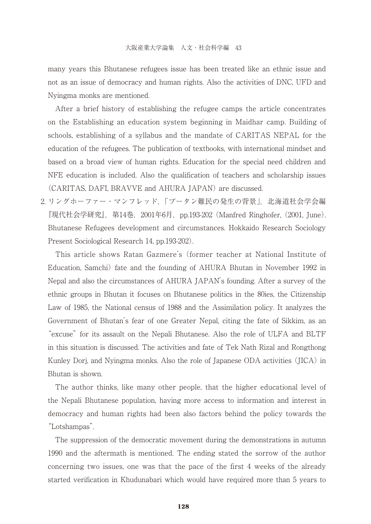many years this Bhutanese refugees issue has been treated like an ethnic issue and not as an issue of democracy and human rights. Also the activities of DNC, UFD and Nyingma monks are mentioned.

 After a brief history of establishing the refugee camps the article concentrates on the Establishing an education system beginning in Maidhar camp. Building of schools, establishing of a syllabus and the mandate of CARITAS NEPAL for the education of the refugees. The publication of textbooks, with international mindset and based on a broad view of human rights. Education for the special need children and NFE education is included. Also the qualification of teachers and scholarship issues (CARITAS, DAFI, BRAVVE and AHURA JAPAN) are discussed.

2. リングホーファー・マンフレッド,「ブータン難民の発生の背景」, 北海道社会学会編 『現代社会学研究』,第14巻,2001年6月,pp.193-202 (Manfred Ringhofer, (2001, June). Bhutanese Refugees development and circumstances. Hokkaido Research Sociology Present Sociological Research 14, pp.193-202).

 This article shows Ratan Gazmere's (former teacher at National Institute of Education, Samchi) fate and the founding of AHURA Bhutan in November 1992 in Nepal and also the circumstances of AHURA JAPAN's founding. After a survey of the ethnic groups in Bhutan it focuses on Bhutanese politics in the 80ies, the Citizenship Law of 1985, the National census of 1988 and the Assimilation policy. It analyzes the Government of Bhutan's fear of one Greater Nepal, citing the fate of Sikkim, as an "excuse" for its assault on the Nepali Bhutanese. Also the role of ULFA and BLTF in this situation is discussed. The activities and fate of Tek Nath Rizal and Rongthong Kunley Dorj, and Nyingma monks. Also the role of Japanese ODA activities (JICA) in Bhutan is shown.

 The author thinks, like many other people, that the higher educational level of the Nepali Bhutanese population, having more access to information and interest in democracy and human rights had been also factors behind the policy towards the "Lotshampas".

 The suppression of the democratic movement during the demonstrations in autumn 1990 and the aftermath is mentioned. The ending stated the sorrow of the author concerning two issues, one was that the pace of the first 4 weeks of the already started verification in Khudunabari which would have required more than 5 years to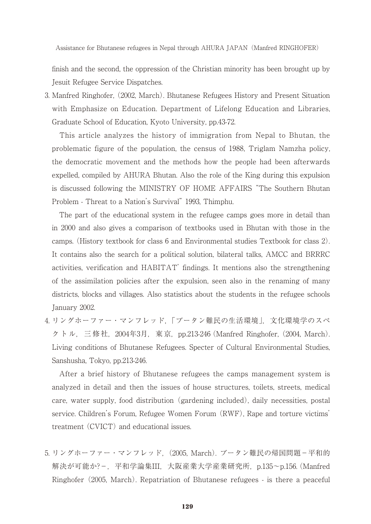finish and the second, the oppression of the Christian minority has been brought up by Jesuit Refugee Service Dispatches.

3. Manfred Ringhofer, (2002, March). Bhutanese Refugees History and Present Situation with Emphasize on Education. Department of Lifelong Education and Libraries, Graduate School of Education, Kyoto University, pp.43-72.

 This article analyzes the history of immigration from Nepal to Bhutan, the problematic figure of the population, the census of 1988, Triglam Namzha policy, the democratic movement and the methods how the people had been afterwards expelled, compiled by AHURA Bhutan. Also the role of the King during this expulsion is discussed following the MINISTRY OF HOME AFFAIRS "The Southern Bhutan Problem - Threat to a Nation's Survival" 1993, Thimphu.

 The part of the educational system in the refugee camps goes more in detail than in 2000 and also gives a comparison of textbooks used in Bhutan with those in the camps. (History textbook for class 6 and Environmental studies Textbook for class 2). It contains also the search for a political solution, bilateral talks, AMCC and BRRRC activities, verification and HABITAT' findings. It mentions also the strengthening of the assimilation policies after the expulsion, seen also in the renaming of many districts, blocks and villages. Also statistics about the students in the refugee schools January 2002.

4. リングホーファー・マンフレッド,「ブータン難民の生活環境」,文化環境学のスペ クトル, 三修社, 2004年3月, 東京, pp.213-246 (Manfred Ringhofer, (2004, March). Living conditions of Bhutanese Refugees. Specter of Cultural Environmental Studies, Sanshusha, Tokyo, pp.213-246.

 After a brief history of Bhutanese refugees the camps management system is analyzed in detail and then the issues of house structures, toilets, streets, medical care, water supply, food distribution (gardening included), daily necessities, postal service. Children's Forum, Refugee Women Forum (RWF), Rape and torture victims' treatment (CVICT) and educational issues.

5. リングホーファー・マンフレッド, (2005, March). ブータン難民の帰国問題-平和的 解決が可能か?-,平和学論集III,大阪産業大学産業研究所, p.135~p.156. (Manfred Ringhofer (2005, March). Repatriation of Bhutanese refugees - is there a peaceful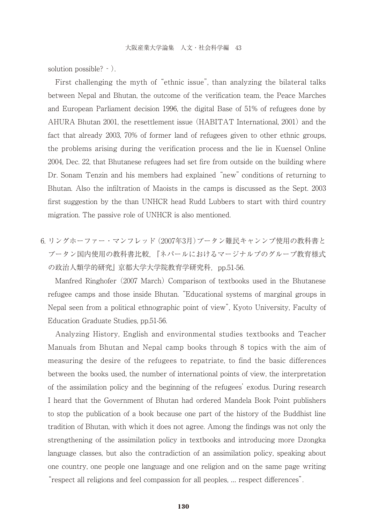solution possible? ‐).

 First challenging the myth of "ethnic issue", than analyzing the bilateral talks between Nepal and Bhutan, the outcome of the verification team, the Peace Marches and European Parliament decision 1996, the digital Base of 51% of refugees done by AHURA Bhutan 2001, the resettlement issue (HABITAT International, 2001) and the fact that already 2003, 70% of former land of refugees given to other ethnic groups, the problems arising during the verification process and the lie in Kuensel Online 2004, Dec. 22, that Bhutanese refugees had set fire from outside on the building where Dr. Sonam Tenzin and his members had explained "new" conditions of returning to Bhutan. Also the infiltration of Maoists in the camps is discussed as the Sept. 2003 first suggestion by the than UNHCR head Rudd Lubbers to start with third country migration. The passive role of UNHCR is also mentioned.

6. リングホーファー・マンフレッド(2007年3月)ブータン難民キャンンプ使用の教科書と ブータン国内使用の教科書比較,『ネパールにおけるマージナルプのグループ教育様式 の政治人類学的研究』京都大学大学院教育学研究科, pp.51-56.

 Manfred Ringhofer (2007 March) Comparison of textbooks used in the Bhutanese refugee camps and those inside Bhutan. "Educational systems of marginal groups in Nepal seen from a political ethnographic point of view", Kyoto University, Faculty of Education Graduate Studies, pp.51-56.

 Analyzing History, English and environmental studies textbooks and Teacher Manuals from Bhutan and Nepal camp books through 8 topics with the aim of measuring the desire of the refugees to repatriate, to find the basic differences between the books used, the number of international points of view, the interpretation of the assimilation policy and the beginning of the refugees' exodus. During research I heard that the Government of Bhutan had ordered Mandela Book Point publishers to stop the publication of a book because one part of the history of the Buddhist line tradition of Bhutan, with which it does not agree. Among the findings was not only the strengthening of the assimilation policy in textbooks and introducing more Dzongka language classes, but also the contradiction of an assimilation policy, speaking about one country, one people one language and one religion and on the same page writing "respect all religions and feel compassion for all peoples, … respect differences".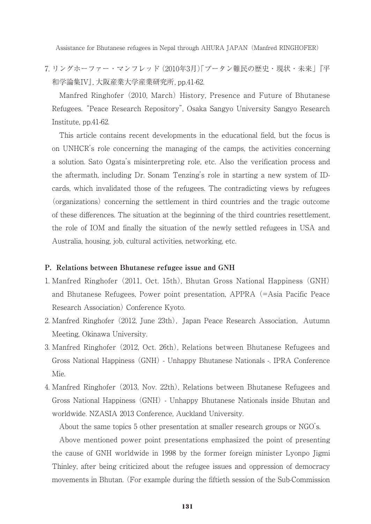7. リングホーファー・マンフレッド(2010年3月)「ブータン難民の歴史・現状・未来」『平 和学論集IV』,大阪産業大学産業研究所,pp.41-62.

 Manfred Ringhofer (2010, March) History, Presence and Future of Bhutanese Refugees. "Peace Research Repository", Osaka Sangyo University Sangyo Research Institute, pp.41-62.

 This article contains recent developments in the educational field, but the focus is on UNHCR's role concerning the managing of the camps, the activities concerning a solution. Sato Ogata's misinterpreting role, etc. Also the verification process and the aftermath, including Dr. Sonam Tenzing's role in starting a new system of IDcards, which invalidated those of the refugees. The contradicting views by refugees (organizations) concerning the settlement in third countries and the tragic outcome of these differences. The situation at the beginning of the third countries resettlement, the role of IOM and finally the situation of the newly settled refugees in USA and Australia, housing, job, cultural activities, networking, etc.

#### **P. Relations between Bhutanese refugee issue and GNH**

- 1. Manfred Ringhofer (2011, Oct. 15th), Bhutan Gross National Happiness (GNH) and Bhutanese Refugees, Power point presentation, APPRA (=Asia Pacific Peace Research Association) Conference Kyoto.
- 2. Manfred Ringhofer (2012, June 23th), Japan Peace Research Association, Autumn Meeting, Okinawa University.
- 3. Manfred Ringhofer (2012, Oct. 26th), Relations between Bhutanese Refugees and Gross National Happiness (GNH) - Unhappy Bhutanese Nationals -. IPRA Conference Mie.
- 4. Manfred Ringhofer (2013, Nov. 22th), Relations between Bhutanese Refugees and Gross National Happiness (GNH) - Unhappy Bhutanese Nationals inside Bhutan and worldwide. NZASIA 2013 Conference, Auckland University.

About the same topics 5 other presentation at smaller research groups or NGO's.

 Above mentioned power point presentations emphasized the point of presenting the cause of GNH worldwide in 1998 by the former foreign minister Lyonpo Jigmi Thinley, after being criticized about the refugee issues and oppression of democracy movements in Bhutan. (For example during the fiftieth session of the Sub-Commission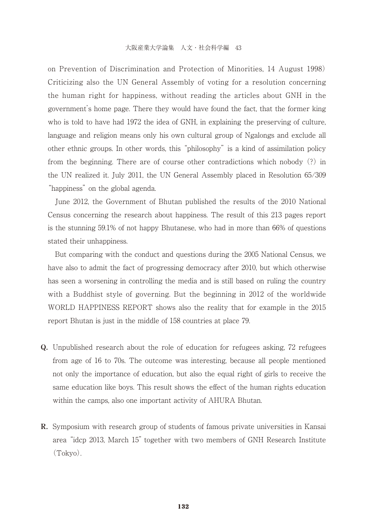on Prevention of Discrimination and Protection of Minorities, 14 August 1998) Criticizing also the UN General Assembly of voting for a resolution concerning the human right for happiness, without reading the articles about GNH in the government's home page. There they would have found the fact, that the former king who is told to have had 1972 the idea of GNH, in explaining the preserving of culture, language and religion means only his own cultural group of Ngalongs and exclude all other ethnic groups. In other words, this "philosophy" is a kind of assimilation policy from the beginning. There are of course other contradictions which nobody (?) in the UN realized it. July 2011, the UN General Assembly placed in Resolution 65/309 "happiness" on the global agenda.

 June 2012, the Government of Bhutan published the results of the 2010 National Census concerning the research about happiness. The result of this 213 pages report is the stunning 59.1% of not happy Bhutanese, who had in more than 66% of questions stated their unhappiness.

 But comparing with the conduct and questions during the 2005 National Census, we have also to admit the fact of progressing democracy after 2010, but which otherwise has seen a worsening in controlling the media and is still based on ruling the country with a Buddhist style of governing. But the beginning in 2012 of the worldwide WORLD HAPPINESS REPORT shows also the reality that for example in the 2015 report Bhutan is just in the middle of 158 countries at place 79.

- **Q.** Unpublished research about the role of education for refugees asking, 72 refugees from age of 16 to 70s. The outcome was interesting, because all people mentioned not only the importance of education, but also the equal right of girls to receive the same education like boys. This result shows the effect of the human rights education within the camps, also one important activity of AHURA Bhutan.
- **R.** Symposium with research group of students of famous private universities in Kansai area "idcp 2013, March 15" together with two members of GNH Research Institute (Tokyo).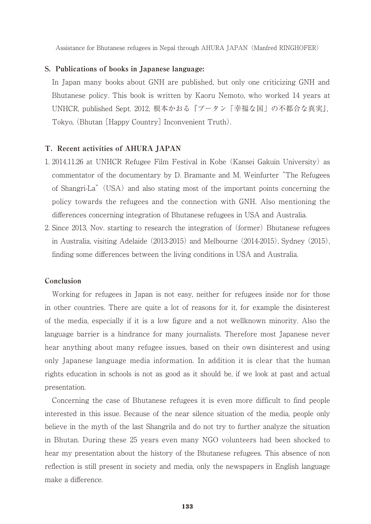#### **S. Publications of books in Japanese language:**

In Japan many books about GNH are published, but only one criticizing GNH and Bhutanese policy. This book is written by Kaoru Nemoto, who worked 14 years at UNHCR, published Sept. 2012, 根本かおる『ブータン「幸福な国」の不都合な真実』, Tokyo, (Bhutan [Happy Country] Inconvenient Truth).

### **T. Recent activities of AHURA JAPAN**

- 1. 2014.11.26 at UNHCR Refugee Film Festival in Kobe (Kansei Gakuin University) as commentator of the documentary by D. Bramante and M. Weinfurter "The Refugees of Shangri-La" (USA) and also stating most of the important points concerning the policy towards the refugees and the connection with GNH. Also mentioning the differences concerning integration of Bhutanese refugees in USA and Australia.
- 2. Since 2013, Nov. starting to research the integration of (former) Bhutanese refugees in Australia, visiting Adelaide (2013-2015) and Melbourne (2014-2015), Sydney (2015), finding some differences between the living conditions in USA and Australia.

### **Conclusion**

 Working for refugees in Japan is not easy, neither for refugees inside nor for those in other countries. There are quite a lot of reasons for it, for example the disinterest of the media, especially if it is a low figure and a not wellknown minority. Also the language barrier is a hindrance for many journalists. Therefore most Japanese never hear anything about many refugee issues, based on their own disinterest and using only Japanese language media information. In addition it is clear that the human rights education in schools is not as good as it should be, if we look at past and actual presentation.

 Concerning the case of Bhutanese refugees it is even more difficult to find people interested in this issue. Because of the near silence situation of the media, people only believe in the myth of the last Shangrila and do not try to further analyze the situation in Bhutan. During these 25 years even many NGO volunteers had been shocked to hear my presentation about the history of the Bhutanese refugees. This absence of non reflection is still present in society and media, only the newspapers in English language make a difference.